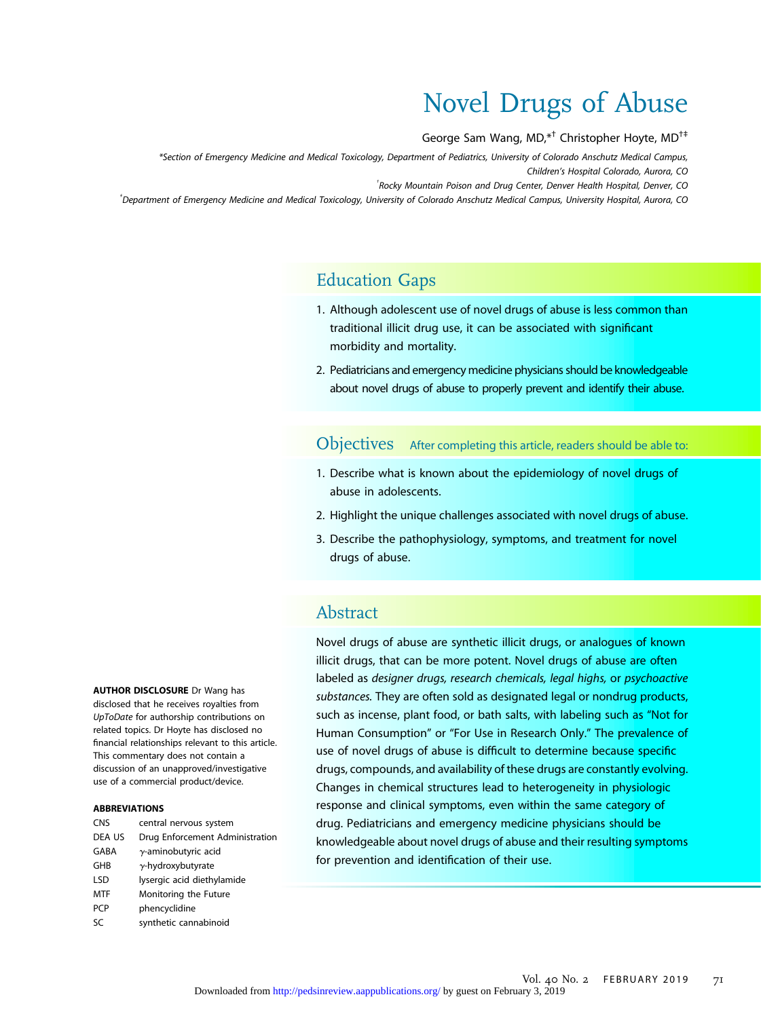# Novel Drugs of Abuse

George Sam Wang, MD,\*† Christopher Hoyte, MD†‡

\*Section of Emergency Medicine and Medical Toxicology, Department of Pediatrics, University of Colorado Anschutz Medical Campus, Children's Hospital Colorado, Aurora, CO

<sup>†</sup> Rocky Mountain Poison and Drug Center, Denver Health Hospital, Denver, CO

‡ Department of Emergency Medicine and Medical Toxicology, University of Colorado Anschutz Medical Campus, University Hospital, Aurora, CO

# Education Gaps

- 1. Although adolescent use of novel drugs of abuse is less common than traditional illicit drug use, it can be associated with significant morbidity and mortality.
- 2. Pediatricians and emergency medicine physicians should be knowledgeable about novel drugs of abuse to properly prevent and identify their abuse.

Objectives After completing this article, readers should be able to:

- 1. Describe what is known about the epidemiology of novel drugs of abuse in adolescents.
- 2. Highlight the unique challenges associated with novel drugs of abuse.
- 3. Describe the pathophysiology, symptoms, and treatment for novel drugs of abuse.

# Abstract

Novel drugs of abuse are synthetic illicit drugs, or analogues of known illicit drugs, that can be more potent. Novel drugs of abuse are often labeled as designer drugs, research chemicals, legal highs, or psychoactive substances. They are often sold as designated legal or nondrug products, such as incense, plant food, or bath salts, with labeling such as "Not for Human Consumption" or "For Use in Research Only." The prevalence of use of novel drugs of abuse is difficult to determine because specific drugs, compounds, and availability of these drugs are constantly evolving. Changes in chemical structures lead to heterogeneity in physiologic response and clinical symptoms, even within the same category of drug. Pediatricians and emergency medicine physicians should be knowledgeable about novel drugs of abuse and their resulting symptoms for prevention and identification of their use.

AUTHOR DISCLOSURE Dr Wang has disclosed that he receives royalties from UpToDate for authorship contributions on related topics. Dr Hoyte has disclosed no financial relationships relevant to this article. This commentary does not contain a discussion of an unapproved/investigative use of a commercial product/device.

#### ABBREVIATIONS

| <b>CNS</b> | central nervous system          |
|------------|---------------------------------|
| DEA US     | Drug Enforcement Administration |
| GABA       | $\gamma$ -aminobutyric acid     |
| GHB        | $\gamma$ -hydroxybutyrate       |
| <b>LSD</b> | lysergic acid diethylamide      |
| MTF        | Monitoring the Future           |
| <b>PCP</b> | phencyclidine                   |
| SC         | synthetic cannabinoid           |
|            |                                 |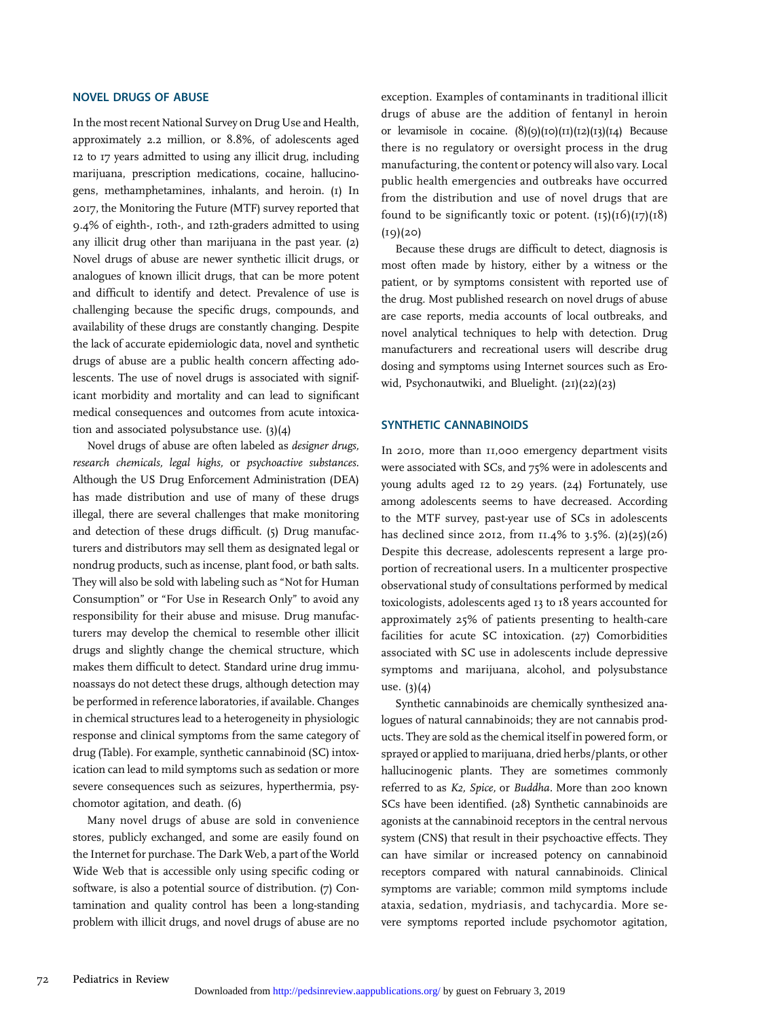#### NOVEL DRUGS OF ABUSE

In the most recent National Survey on Drug Use and Health, approximately 2.2 million, or 8.8%, of adolescents aged 12 to 17 years admitted to using any illicit drug, including marijuana, prescription medications, cocaine, hallucinogens, methamphetamines, inhalants, and heroin. (1) In 2017, the Monitoring the Future (MTF) survey reported that 9.4% of eighth-, 10th-, and 12th-graders admitted to using any illicit drug other than marijuana in the past year. (2) Novel drugs of abuse are newer synthetic illicit drugs, or analogues of known illicit drugs, that can be more potent and difficult to identify and detect. Prevalence of use is challenging because the specific drugs, compounds, and availability of these drugs are constantly changing. Despite the lack of accurate epidemiologic data, novel and synthetic drugs of abuse are a public health concern affecting adolescents. The use of novel drugs is associated with significant morbidity and mortality and can lead to significant medical consequences and outcomes from acute intoxication and associated polysubstance use. (3)(4)

Novel drugs of abuse are often labeled as designer drugs, research chemicals, legal highs, or psychoactive substances. Although the US Drug Enforcement Administration (DEA) has made distribution and use of many of these drugs illegal, there are several challenges that make monitoring and detection of these drugs difficult. (5) Drug manufacturers and distributors may sell them as designated legal or nondrug products, such as incense, plant food, or bath salts. They will also be sold with labeling such as "Not for Human Consumption" or "For Use in Research Only" to avoid any responsibility for their abuse and misuse. Drug manufacturers may develop the chemical to resemble other illicit drugs and slightly change the chemical structure, which makes them difficult to detect. Standard urine drug immunoassays do not detect these drugs, although detection may be performed in reference laboratories, if available. Changes in chemical structures lead to a heterogeneity in physiologic response and clinical symptoms from the same category of drug (Table). For example, synthetic cannabinoid (SC) intoxication can lead to mild symptoms such as sedation or more severe consequences such as seizures, hyperthermia, psychomotor agitation, and death. (6)

Many novel drugs of abuse are sold in convenience stores, publicly exchanged, and some are easily found on the Internet for purchase. The Dark Web, a part of the World Wide Web that is accessible only using specific coding or software, is also a potential source of distribution. (7) Contamination and quality control has been a long-standing problem with illicit drugs, and novel drugs of abuse are no exception. Examples of contaminants in traditional illicit drugs of abuse are the addition of fentanyl in heroin or levamisole in cocaine. (8)(9)(10)(11)(12)(13)(14) Because there is no regulatory or oversight process in the drug manufacturing, the content or potency will also vary. Local public health emergencies and outbreaks have occurred from the distribution and use of novel drugs that are found to be significantly toxic or potent.  $(15)(16)(17)(18)$  $(19)(20)$ 

Because these drugs are difficult to detect, diagnosis is most often made by history, either by a witness or the patient, or by symptoms consistent with reported use of the drug. Most published research on novel drugs of abuse are case reports, media accounts of local outbreaks, and novel analytical techniques to help with detection. Drug manufacturers and recreational users will describe drug dosing and symptoms using Internet sources such as Erowid, Psychonautwiki, and Bluelight. (21)(22)(23)

#### SYNTHETIC CANNABINOIDS

In 2010, more than 11,000 emergency department visits were associated with SCs, and 75% were in adolescents and young adults aged 12 to 29 years. (24) Fortunately, use among adolescents seems to have decreased. According to the MTF survey, past-year use of SCs in adolescents has declined since 2012, from  $11.4\%$  to 3.5%. (2)(25)(26) Despite this decrease, adolescents represent a large proportion of recreational users. In a multicenter prospective observational study of consultations performed by medical toxicologists, adolescents aged 13 to 18 years accounted for approximately 25% of patients presenting to health-care facilities for acute SC intoxication. (27) Comorbidities associated with SC use in adolescents include depressive symptoms and marijuana, alcohol, and polysubstance use. (3)(4)

Synthetic cannabinoids are chemically synthesized analogues of natural cannabinoids; they are not cannabis products. They are sold as the chemical itself in powered form, or sprayed or applied to marijuana, dried herbs/plants, or other hallucinogenic plants. They are sometimes commonly referred to as K2, Spice, or Buddha. More than 200 known SCs have been identified. (28) Synthetic cannabinoids are agonists at the cannabinoid receptors in the central nervous system (CNS) that result in their psychoactive effects. They can have similar or increased potency on cannabinoid receptors compared with natural cannabinoids. Clinical symptoms are variable; common mild symptoms include ataxia, sedation, mydriasis, and tachycardia. More severe symptoms reported include psychomotor agitation,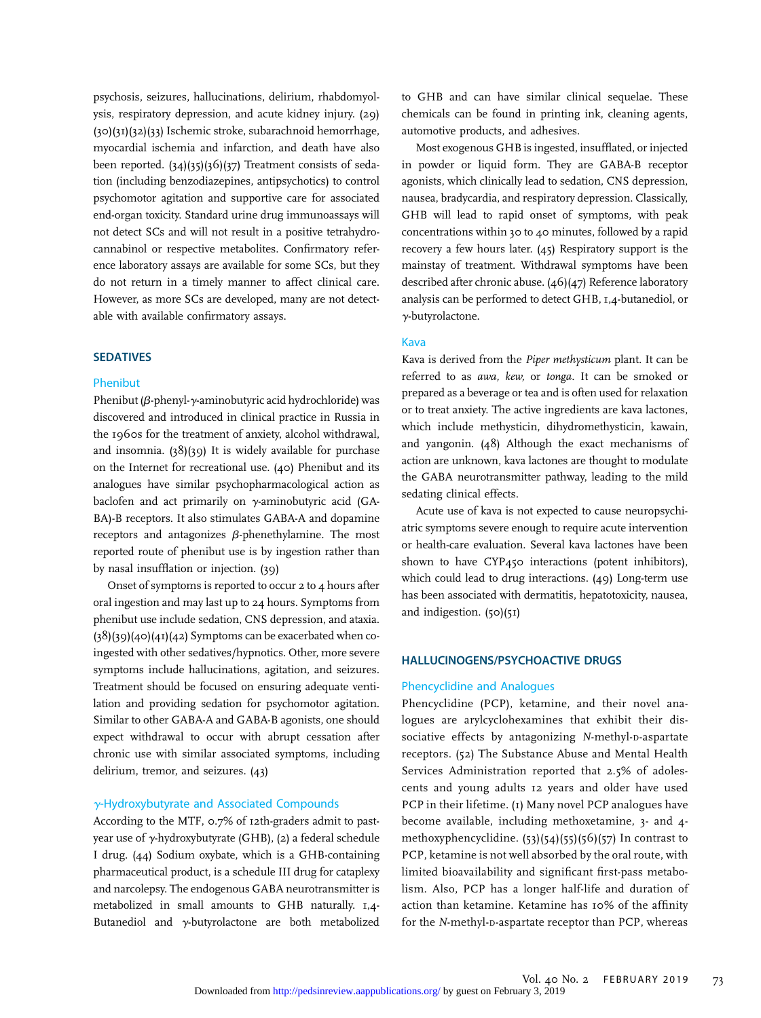psychosis, seizures, hallucinations, delirium, rhabdomyolysis, respiratory depression, and acute kidney injury. (29) (30)(31)(32)(33) Ischemic stroke, subarachnoid hemorrhage, myocardial ischemia and infarction, and death have also been reported. (34)(35)(36)(37) Treatment consists of sedation (including benzodiazepines, antipsychotics) to control psychomotor agitation and supportive care for associated end-organ toxicity. Standard urine drug immunoassays will not detect SCs and will not result in a positive tetrahydrocannabinol or respective metabolites. Confirmatory reference laboratory assays are available for some SCs, but they do not return in a timely manner to affect clinical care. However, as more SCs are developed, many are not detectable with available confirmatory assays.

#### SEDATIVES

#### Phenibut

Phenibut ( $\beta$ -phenyl- $\gamma$ -aminobutyric acid hydrochloride) was discovered and introduced in clinical practice in Russia in the 1960s for the treatment of anxiety, alcohol withdrawal, and insomnia. (38)(39) It is widely available for purchase on the Internet for recreational use. (40) Phenibut and its analogues have similar psychopharmacological action as baclofen and act primarily on  $\gamma$ -aminobutyric acid (GA-BA)-B receptors. It also stimulates GABA-A and dopamine receptors and antagonizes  $\beta$ -phenethylamine. The most reported route of phenibut use is by ingestion rather than by nasal insufflation or injection. (39)

Onset of symptoms is reported to occur 2 to 4 hours after oral ingestion and may last up to 24 hours. Symptoms from phenibut use include sedation, CNS depression, and ataxia.  $(38)(39)(40)(41)(42)$  Symptoms can be exacerbated when coingested with other sedatives/hypnotics. Other, more severe symptoms include hallucinations, agitation, and seizures. Treatment should be focused on ensuring adequate ventilation and providing sedation for psychomotor agitation. Similar to other GABA-A and GABA-B agonists, one should expect withdrawal to occur with abrupt cessation after chronic use with similar associated symptoms, including delirium, tremor, and seizures. (43)

#### g-Hydroxybutyrate and Associated Compounds

According to the MTF, 0.7% of 12th-graders admit to pastyear use of  $\gamma$ -hydroxybutyrate (GHB), (2) a federal schedule I drug. (44) Sodium oxybate, which is a GHB-containing pharmaceutical product, is a schedule III drug for cataplexy and narcolepsy. The endogenous GABA neurotransmitter is metabolized in small amounts to GHB naturally. 1,4- Butanediol and  $\gamma$ -butyrolactone are both metabolized to GHB and can have similar clinical sequelae. These chemicals can be found in printing ink, cleaning agents, automotive products, and adhesives.

Most exogenous GHB is ingested, insufflated, or injected in powder or liquid form. They are GABA-B receptor agonists, which clinically lead to sedation, CNS depression, nausea, bradycardia, and respiratory depression. Classically, GHB will lead to rapid onset of symptoms, with peak concentrations within 30 to 40 minutes, followed by a rapid recovery a few hours later. (45) Respiratory support is the mainstay of treatment. Withdrawal symptoms have been described after chronic abuse. (46)(47) Reference laboratory analysis can be performed to detect GHB, 1,4-butanediol, or  $\gamma$ -butyrolactone.

#### Kava

Kava is derived from the Piper methysticum plant. It can be referred to as awa, kew, or tonga. It can be smoked or prepared as a beverage or tea and is often used for relaxation or to treat anxiety. The active ingredients are kava lactones, which include methysticin, dihydromethysticin, kawain, and yangonin. (48) Although the exact mechanisms of action are unknown, kava lactones are thought to modulate the GABA neurotransmitter pathway, leading to the mild sedating clinical effects.

Acute use of kava is not expected to cause neuropsychiatric symptoms severe enough to require acute intervention or health-care evaluation. Several kava lactones have been shown to have CYP450 interactions (potent inhibitors), which could lead to drug interactions. (49) Long-term use has been associated with dermatitis, hepatotoxicity, nausea, and indigestion. (50)(51)

#### HALLUCINOGENS/PSYCHOACTIVE DRUGS

#### Phencyclidine and Analogues

Phencyclidine (PCP), ketamine, and their novel analogues are arylcyclohexamines that exhibit their dissociative effects by antagonizing N-methyl-D-aspartate receptors. (52) The Substance Abuse and Mental Health Services Administration reported that 2.5% of adolescents and young adults 12 years and older have used PCP in their lifetime. (1) Many novel PCP analogues have become available, including methoxetamine, 3- and 4 methoxyphencyclidine. (53)(54)(55)(56)(57) In contrast to PCP, ketamine is not well absorbed by the oral route, with limited bioavailability and significant first-pass metabolism. Also, PCP has a longer half-life and duration of action than ketamine. Ketamine has 10% of the affinity for the N-methyl-D-aspartate receptor than PCP, whereas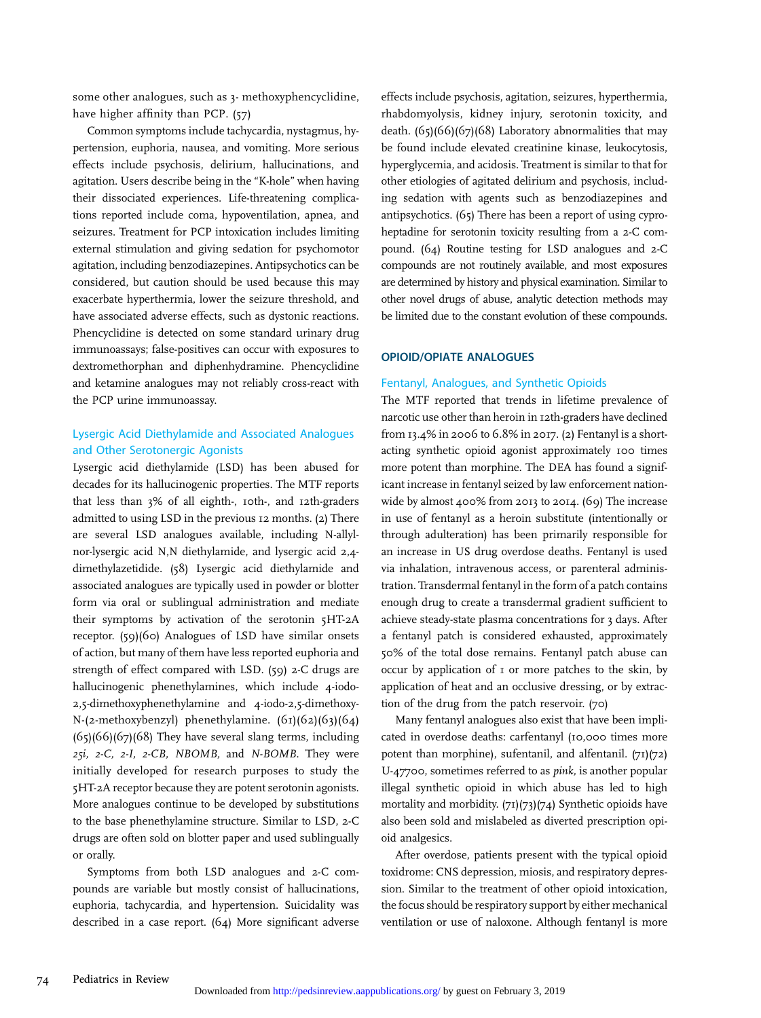some other analogues, such as 3- methoxyphencyclidine, have higher affinity than PCP. (57)

Common symptoms include tachycardia, nystagmus, hypertension, euphoria, nausea, and vomiting. More serious effects include psychosis, delirium, hallucinations, and agitation. Users describe being in the "K-hole" when having their dissociated experiences. Life-threatening complications reported include coma, hypoventilation, apnea, and seizures. Treatment for PCP intoxication includes limiting external stimulation and giving sedation for psychomotor agitation, including benzodiazepines. Antipsychotics can be considered, but caution should be used because this may exacerbate hyperthermia, lower the seizure threshold, and have associated adverse effects, such as dystonic reactions. Phencyclidine is detected on some standard urinary drug immunoassays; false-positives can occur with exposures to dextromethorphan and diphenhydramine. Phencyclidine and ketamine analogues may not reliably cross-react with the PCP urine immunoassay.

#### Lysergic Acid Diethylamide and Associated Analogues and Other Serotonergic Agonists

Lysergic acid diethylamide (LSD) has been abused for decades for its hallucinogenic properties. The MTF reports that less than 3% of all eighth-, 10th-, and 12th-graders admitted to using LSD in the previous 12 months. (2) There are several LSD analogues available, including N-allylnor-lysergic acid N,N diethylamide, and lysergic acid 2,4 dimethylazetidide. (58) Lysergic acid diethylamide and associated analogues are typically used in powder or blotter form via oral or sublingual administration and mediate their symptoms by activation of the serotonin 5HT-2A receptor. (59)(60) Analogues of LSD have similar onsets of action, but many of them have less reported euphoria and strength of effect compared with LSD. (59) 2-C drugs are hallucinogenic phenethylamines, which include 4-iodo-2,5-dimethoxyphenethylamine and 4-iodo-2,5-dimethoxy-N-(2-methoxybenzyl) phenethylamine. (61)(62)(63)(64)  $(65)(66)(67)(68)$  They have several slang terms, including 25i, 2-C, 2-I, 2-CB, NBOMB, and N-BOMB. They were initially developed for research purposes to study the 5HT-2A receptor because they are potent serotonin agonists. More analogues continue to be developed by substitutions to the base phenethylamine structure. Similar to LSD, 2-C drugs are often sold on blotter paper and used sublingually or orally.

Symptoms from both LSD analogues and 2-C compounds are variable but mostly consist of hallucinations, euphoria, tachycardia, and hypertension. Suicidality was described in a case report. (64) More significant adverse effects include psychosis, agitation, seizures, hyperthermia, rhabdomyolysis, kidney injury, serotonin toxicity, and death. (65)(66)(67)(68) Laboratory abnormalities that may be found include elevated creatinine kinase, leukocytosis, hyperglycemia, and acidosis. Treatment is similar to that for other etiologies of agitated delirium and psychosis, including sedation with agents such as benzodiazepines and antipsychotics. (65) There has been a report of using cyproheptadine for serotonin toxicity resulting from a 2-C compound. (64) Routine testing for LSD analogues and 2-C compounds are not routinely available, and most exposures are determined by history and physical examination. Similar to other novel drugs of abuse, analytic detection methods may be limited due to the constant evolution of these compounds.

#### OPIOID/OPIATE ANALOGUES

#### Fentanyl, Analogues, and Synthetic Opioids

The MTF reported that trends in lifetime prevalence of narcotic use other than heroin in 12th-graders have declined from 13.4% in 2006 to 6.8% in 2017. (2) Fentanyl is a shortacting synthetic opioid agonist approximately 100 times more potent than morphine. The DEA has found a significant increase in fentanyl seized by law enforcement nationwide by almost 400% from 2013 to 2014. (69) The increase in use of fentanyl as a heroin substitute (intentionally or through adulteration) has been primarily responsible for an increase in US drug overdose deaths. Fentanyl is used via inhalation, intravenous access, or parenteral administration. Transdermal fentanyl in the form of a patch contains enough drug to create a transdermal gradient sufficient to achieve steady-state plasma concentrations for 3 days. After a fentanyl patch is considered exhausted, approximately 50% of the total dose remains. Fentanyl patch abuse can occur by application of 1 or more patches to the skin, by application of heat and an occlusive dressing, or by extraction of the drug from the patch reservoir. (70)

Many fentanyl analogues also exist that have been implicated in overdose deaths: carfentanyl (10,000 times more potent than morphine), sufentanil, and alfentanil. (71)(72) U-47700, sometimes referred to as pink, is another popular illegal synthetic opioid in which abuse has led to high mortality and morbidity. (71)(73)(74) Synthetic opioids have also been sold and mislabeled as diverted prescription opioid analgesics.

After overdose, patients present with the typical opioid toxidrome: CNS depression, miosis, and respiratory depression. Similar to the treatment of other opioid intoxication, the focus should be respiratory support by either mechanical ventilation or use of naloxone. Although fentanyl is more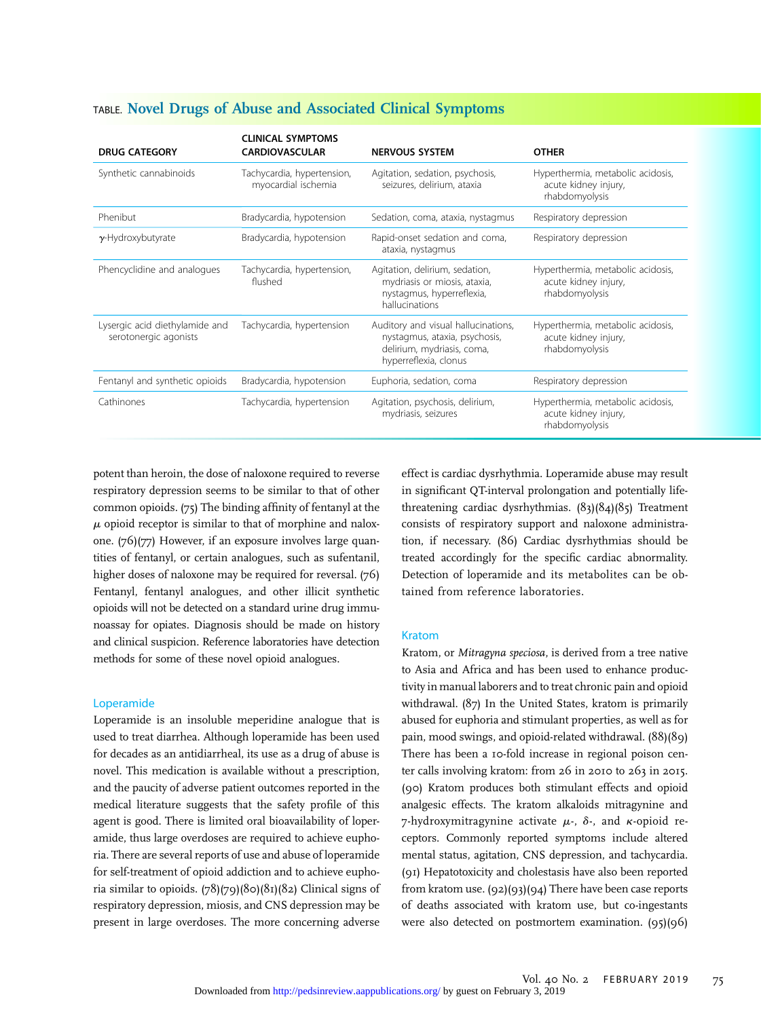| <b>DRUG CATEGORY</b>                                    | <b>CLINICAL SYMPTOMS</b><br><b>CARDIOVASCULAR</b> | <b>NERVOUS SYSTEM</b>                                                                                                       | <b>OTHER</b>                                                                |
|---------------------------------------------------------|---------------------------------------------------|-----------------------------------------------------------------------------------------------------------------------------|-----------------------------------------------------------------------------|
| Synthetic cannabinoids                                  | Tachycardia, hypertension,<br>myocardial ischemia | Agitation, sedation, psychosis,<br>seizures, delirium, ataxia                                                               | Hyperthermia, metabolic acidosis,<br>acute kidney injury,<br>rhabdomyolysis |
| Phenibut                                                | Bradycardia, hypotension                          | Sedation, coma, ataxia, nystagmus                                                                                           | Respiratory depression                                                      |
| $\gamma$ -Hydroxybutyrate                               | Bradycardia, hypotension                          | Rapid-onset sedation and coma,<br>ataxia, nystagmus                                                                         | Respiratory depression                                                      |
| Phencyclidine and analogues                             | Tachycardia, hypertension,<br>flushed             | Agitation, delirium, sedation,<br>mydriasis or miosis, ataxia,<br>nystagmus, hyperreflexia,<br>hallucinations               | Hyperthermia, metabolic acidosis,<br>acute kidney injury,<br>rhabdomyolysis |
| Lysergic acid diethylamide and<br>serotonergic agonists | Tachycardia, hypertension                         | Auditory and visual hallucinations,<br>nystagmus, ataxia, psychosis,<br>delirium, mydriasis, coma,<br>hyperreflexia, clonus | Hyperthermia, metabolic acidosis,<br>acute kidney injury,<br>rhabdomyolysis |
| Fentanyl and synthetic opioids                          | Bradycardia, hypotension                          | Euphoria, sedation, coma                                                                                                    | Respiratory depression                                                      |
| Cathinones                                              | Tachycardia, hypertension                         | Agitation, psychosis, delirium,<br>mydriasis, seizures                                                                      | Hyperthermia, metabolic acidosis,<br>acute kidney injury,<br>rhabdomyolysis |

# TABLE. Novel Drugs of Abuse and Associated Clinical Symptoms

potent than heroin, the dose of naloxone required to reverse respiratory depression seems to be similar to that of other common opioids. (75) The binding affinity of fentanyl at the  $\mu$  opioid receptor is similar to that of morphine and naloxone. (76)(77) However, if an exposure involves large quantities of fentanyl, or certain analogues, such as sufentanil, higher doses of naloxone may be required for reversal. (76) Fentanyl, fentanyl analogues, and other illicit synthetic opioids will not be detected on a standard urine drug immunoassay for opiates. Diagnosis should be made on history and clinical suspicion. Reference laboratories have detection methods for some of these novel opioid analogues.

#### Loperamide

Loperamide is an insoluble meperidine analogue that is used to treat diarrhea. Although loperamide has been used for decades as an antidiarrheal, its use as a drug of abuse is novel. This medication is available without a prescription, and the paucity of adverse patient outcomes reported in the medical literature suggests that the safety profile of this agent is good. There is limited oral bioavailability of loperamide, thus large overdoses are required to achieve euphoria. There are several reports of use and abuse of loperamide for self-treatment of opioid addiction and to achieve euphoria similar to opioids.  $(78)(79)(80)(81)(82)$  Clinical signs of respiratory depression, miosis, and CNS depression may be present in large overdoses. The more concerning adverse

effect is cardiac dysrhythmia. Loperamide abuse may result in significant QT-interval prolongation and potentially lifethreatening cardiac dysrhythmias. (83)(84)(85) Treatment consists of respiratory support and naloxone administration, if necessary. (86) Cardiac dysrhythmias should be treated accordingly for the specific cardiac abnormality. Detection of loperamide and its metabolites can be obtained from reference laboratories.

#### Kratom

Kratom, or Mitragyna speciosa, is derived from a tree native to Asia and Africa and has been used to enhance productivity in manual laborers and to treat chronic pain and opioid withdrawal. (87) In the United States, kratom is primarily abused for euphoria and stimulant properties, as well as for pain, mood swings, and opioid-related withdrawal. (88)(89) There has been a 10-fold increase in regional poison center calls involving kratom: from 26 in 2010 to 263 in 2015. (90) Kratom produces both stimulant effects and opioid analgesic effects. The kratom alkaloids mitragynine and 7-hydroxymitragynine activate  $\mu$ -,  $\delta$ -, and  $\kappa$ -opioid receptors. Commonly reported symptoms include altered mental status, agitation, CNS depression, and tachycardia. (91) Hepatotoxicity and cholestasis have also been reported from kratom use.  $(q_2)(q_3)(q_4)$  There have been case reports of deaths associated with kratom use, but co-ingestants were also detected on postmortem examination. (95)(96)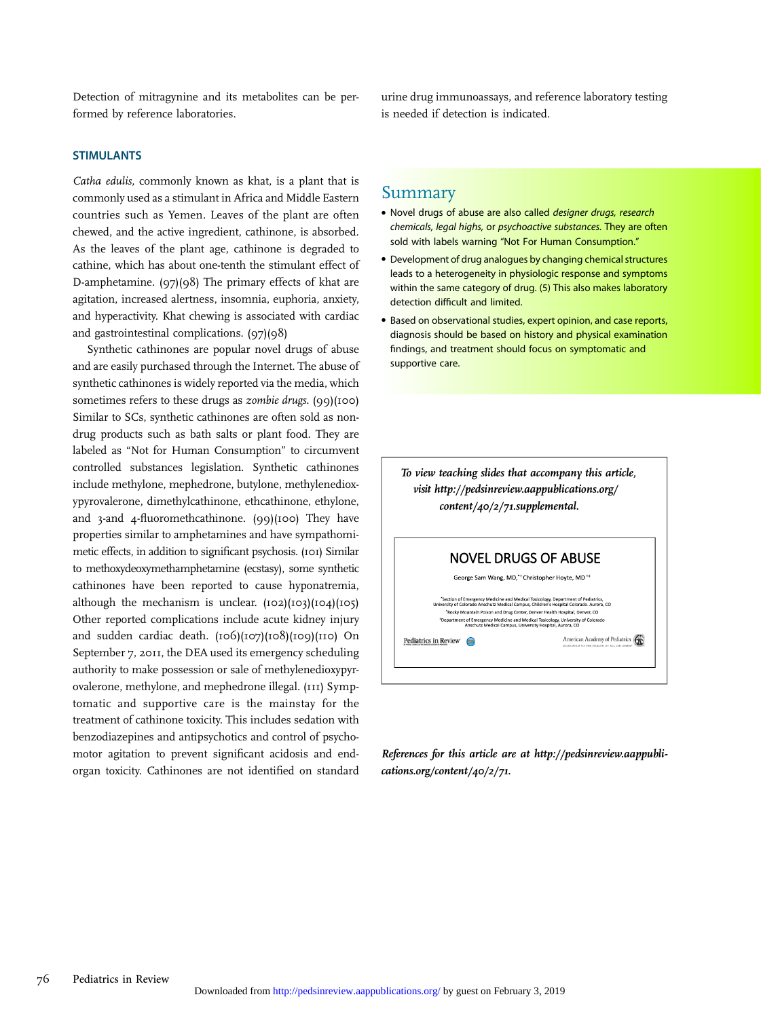Detection of mitragynine and its metabolites can be performed by reference laboratories.

urine drug immunoassays, and reference laboratory testing is needed if detection is indicated.

#### **STIMULANTS**

Catha edulis, commonly known as khat, is a plant that is commonly used as a stimulant in Africa and Middle Eastern countries such as Yemen. Leaves of the plant are often chewed, and the active ingredient, cathinone, is absorbed. As the leaves of the plant age, cathinone is degraded to cathine, which has about one-tenth the stimulant effect of D-amphetamine. (97)(98) The primary effects of khat are agitation, increased alertness, insomnia, euphoria, anxiety, and hyperactivity. Khat chewing is associated with cardiac and gastrointestinal complications. (97)(98)

Synthetic cathinones are popular novel drugs of abuse and are easily purchased through the Internet. The abuse of synthetic cathinones is widely reported via the media, which sometimes refers to these drugs as *zombie drugs*.  $(qq)(100)$ Similar to SCs, synthetic cathinones are often sold as nondrug products such as bath salts or plant food. They are labeled as "Not for Human Consumption" to circumvent controlled substances legislation. Synthetic cathinones include methylone, mephedrone, butylone, methylenedioxypyrovalerone, dimethylcathinone, ethcathinone, ethylone, and 3-and 4-fluoromethcathinone. (99)(100) They have properties similar to amphetamines and have sympathomimetic effects, in addition to significant psychosis. (101) Similar to methoxydeoxymethamphetamine (ecstasy), some synthetic cathinones have been reported to cause hyponatremia, although the mechanism is unclear.  $(102)(103)(104)(105)$ Other reported complications include acute kidney injury and sudden cardiac death. (106)(107)(108)(109)(110) On September 7, 2011, the DEA used its emergency scheduling authority to make possession or sale of methylenedioxypyrovalerone, methylone, and mephedrone illegal. (111) Symptomatic and supportive care is the mainstay for the treatment of cathinone toxicity. This includes sedation with benzodiazepines and antipsychotics and control of psychomotor agitation to prevent significant acidosis and endorgan toxicity. Cathinones are not identified on standard

### Summary

- Novel drugs of abuse are also called designer drugs, research chemicals, legal highs, or psychoactive substances. They are often sold with labels warning "Not For Human Consumption."
- Development of drug analogues by changing chemical structures leads to a heterogeneity in physiologic response and symptoms within the same category of drug. (5) This also makes laboratory detection difficult and limited.
- Based on observational studies, expert opinion, and case reports, diagnosis should be based on history and physical examination findings, and treatment should focus on symptomatic and supportive care.

To view teaching slides that accompany this article, visit [http://pedsinreview.aappublications.org/](http://pedsinreview.aappublications.org/content/40/2/71.supplemental) [content/40/2/71.supplemental](http://pedsinreview.aappublications.org/content/40/2/71.supplemental).



References for this article are at [http://pedsinreview.aappubli](http://pedsinreview.aappublications.org/content/40/2/71)[cations.org/content/40/2/71.](http://pedsinreview.aappublications.org/content/40/2/71)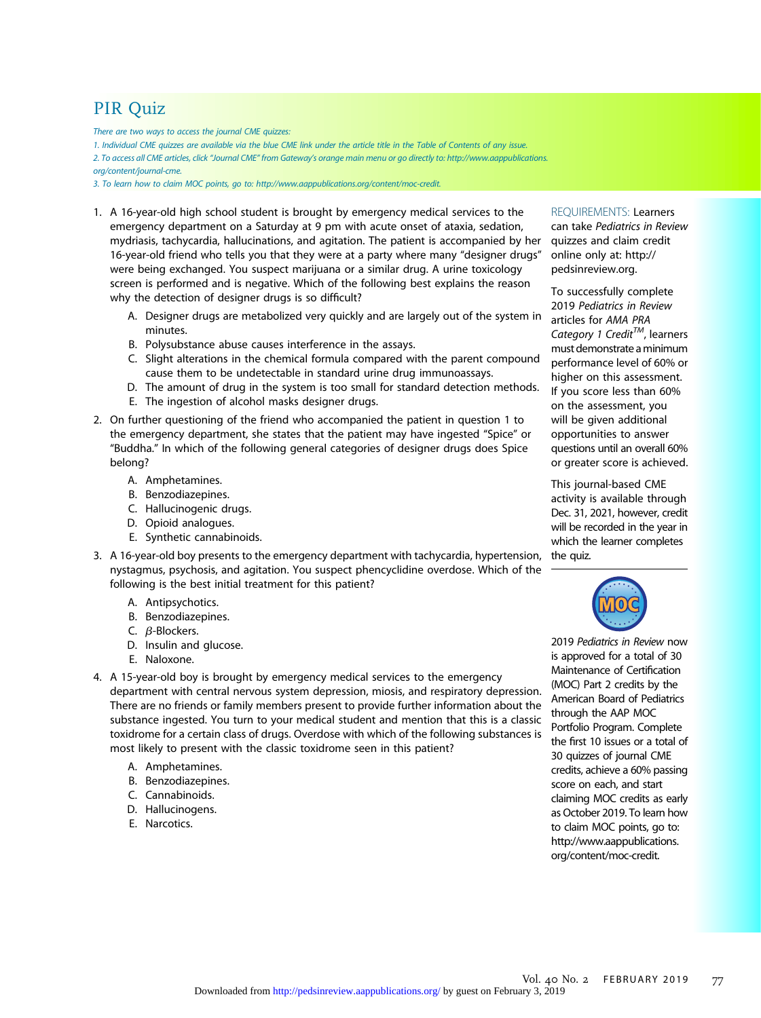# PIR Quiz

There are two ways to access the journal CME quizzes:

1. Individual CME quizzes are available via the blue CME link under the article title in the Table of Contents of any issue.

2. To access all CME articles, click "Journal CME" from Gateway's orange main menu or go directly to: [http://www.aappublications.](http://www.aappublications.org/content/journal-cme)

[org/content/journal-cme.](http://www.aappublications.org/content/journal-cme)

3. To learn how to claim MOC points, go to: [http://www.aappublications.org/content/moc-credit.](http://www.aappublications.org/content/moc-credit)

- 1. A 16-year-old high school student is brought by emergency medical services to the emergency department on a Saturday at 9 pm with acute onset of ataxia, sedation, mydriasis, tachycardia, hallucinations, and agitation. The patient is accompanied by her 16-year-old friend who tells you that they were at a party where many "designer drugs" were being exchanged. You suspect marijuana or a similar drug. A urine toxicology screen is performed and is negative. Which of the following best explains the reason why the detection of designer drugs is so difficult?
	- A. Designer drugs are metabolized very quickly and are largely out of the system in minutes.
	- B. Polysubstance abuse causes interference in the assays.
	- C. Slight alterations in the chemical formula compared with the parent compound cause them to be undetectable in standard urine drug immunoassays.
	- D. The amount of drug in the system is too small for standard detection methods.
	- E. The ingestion of alcohol masks designer drugs.
- 2. On further questioning of the friend who accompanied the patient in question 1 to the emergency department, she states that the patient may have ingested "Spice" or "Buddha." In which of the following general categories of designer drugs does Spice belong?
	- A. Amphetamines.
	- B. Benzodiazepines.
	- C. Hallucinogenic drugs.
	- D. Opioid analogues.
	- E. Synthetic cannabinoids.
- 3. A 16-year-old boy presents to the emergency department with tachycardia, hypertension, nystagmus, psychosis, and agitation. You suspect phencyclidine overdose. Which of the following is the best initial treatment for this patient?
	- A. Antipsychotics.
	- B. Benzodiazepines.
	- C.  $\beta$ -Blockers.
	- D. Insulin and glucose.
	- E. Naloxone.
- 4. A 15-year-old boy is brought by emergency medical services to the emergency department with central nervous system depression, miosis, and respiratory depression. There are no friends or family members present to provide further information about the substance ingested. You turn to your medical student and mention that this is a classic toxidrome for a certain class of drugs. Overdose with which of the following substances is most likely to present with the classic toxidrome seen in this patient?
	- A. Amphetamines.
	- B. Benzodiazepines.
	- C. Cannabinoids.
	- D. Hallucinogens.
	- E. Narcotics.

#### REQUIREMENTS: Learners

can take Pediatrics in Review quizzes and claim credit online only at: [http://](http://pedsinreview.org) [pedsinreview.org](http://pedsinreview.org).

To successfully complete 2019 Pediatrics in Review articles for AMA PRA Category 1 Credit<sup>TM</sup>, learners must demonstrate aminimum performance level of 60% or higher on this assessment. If you score less than 60% on the assessment, you will be given additional opportunities to answer questions until an overall 60% or greater score is achieved.

This journal-based CME activity is available through Dec. 31, 2021, however, credit will be recorded in the year in which the learner completes the quiz.



2019 Pediatrics in Review now is approved for a total of 30 Maintenance of Certification (MOC) Part 2 credits by the American Board of Pediatrics through the AAP MOC Portfolio Program. Complete the first 10 issues or a total of 30 quizzes of journal CME credits, achieve a 60% passing score on each, and start claiming MOC credits as early as October 2019. To learn how to claim MOC points, go to: [http://www.aappublications.](http://www.aappublications.org/content/moc-credit) [org/content/moc-credit](http://www.aappublications.org/content/moc-credit).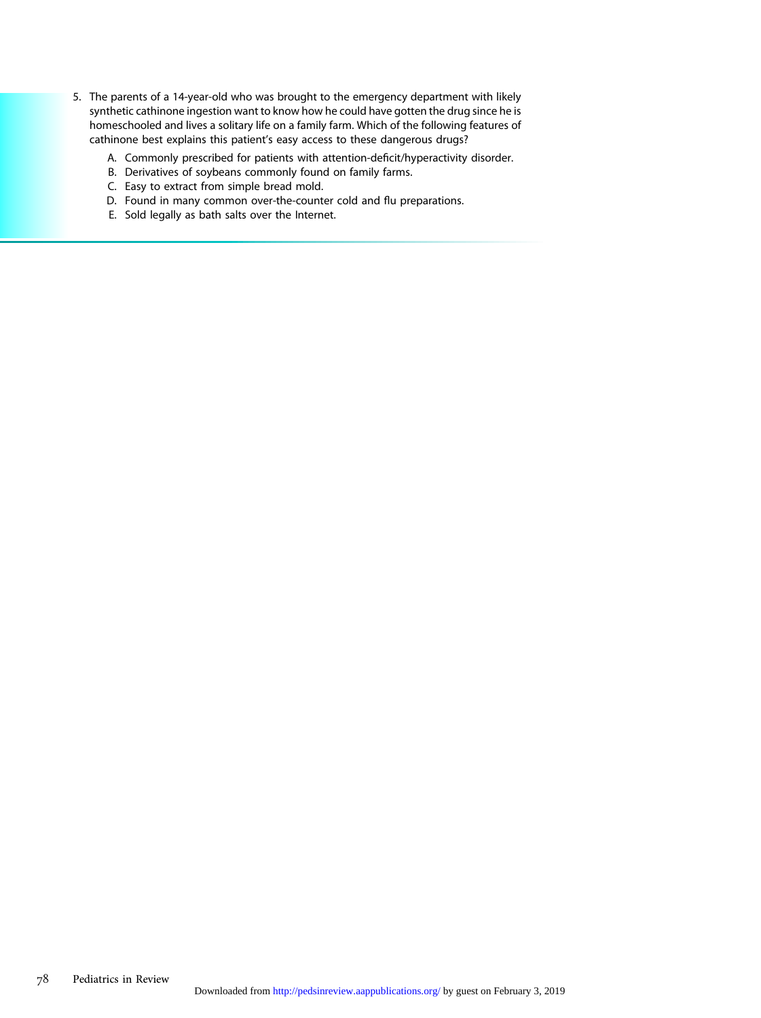- 5. The parents of a 14-year-old who was brought to the emergency department with likely synthetic cathinone ingestion want to know how he could have gotten the drug since he is homeschooled and lives a solitary life on a family farm. Which of the following features of cathinone best explains this patient's easy access to these dangerous drugs?
	- A. Commonly prescribed for patients with attention-deficit/hyperactivity disorder.
	- B. Derivatives of soybeans commonly found on family farms.
	- C. Easy to extract from simple bread mold.
	- D. Found in many common over-the-counter cold and flu preparations.
	- E. Sold legally as bath salts over the Internet.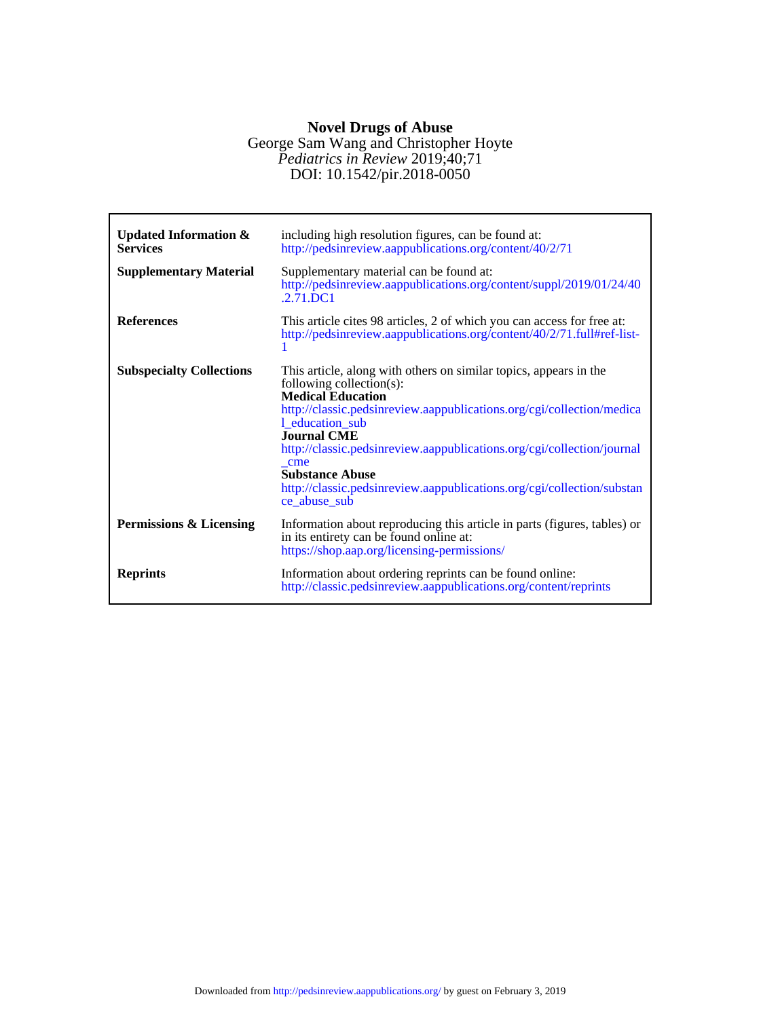# **Novel Drugs of Abuse**

## DOI: 10.1542/pir.2018-0050 *Pediatrics in Review* 2019;40;71 George Sam Wang and Christopher Hoyte

| <b>Updated Information &amp;</b><br><b>Services</b> | including high resolution figures, can be found at:<br>http://pedsinreview.aappublications.org/content/40/2/71                                                                                                                                                                                                                                                                                                                                   |
|-----------------------------------------------------|--------------------------------------------------------------------------------------------------------------------------------------------------------------------------------------------------------------------------------------------------------------------------------------------------------------------------------------------------------------------------------------------------------------------------------------------------|
| <b>Supplementary Material</b>                       | Supplementary material can be found at:<br>http://pedsinreview.aappublications.org/content/suppl/2019/01/24/40<br>$.2.71$ DC1                                                                                                                                                                                                                                                                                                                    |
| <b>References</b>                                   | This article cites 98 articles, 2 of which you can access for free at:<br>http://pedsinreview.aappublications.org/content/40/2/71.full#ref-list-                                                                                                                                                                                                                                                                                                 |
| <b>Subspecialty Collections</b>                     | This article, along with others on similar topics, appears in the<br>following collection(s):<br><b>Medical Education</b><br>http://classic.pedsinreview.aappublications.org/cgi/collection/medica<br>1 education sub<br><b>Journal CME</b><br>http://classic.pedsinreview.aappublications.org/cgi/collection/journal<br>cme<br><b>Substance Abuse</b><br>http://classic.pedsinreview.aappublications.org/cgi/collection/substan<br>ce abuse sub |
| <b>Permissions &amp; Licensing</b>                  | Information about reproducing this article in parts (figures, tables) or<br>in its entirety can be found online at:<br>https://shop.aap.org/licensing-permissions/                                                                                                                                                                                                                                                                               |
| <b>Reprints</b>                                     | Information about ordering reprints can be found online:<br>http://classic.pedsinreview.aappublications.org/content/reprints                                                                                                                                                                                                                                                                                                                     |